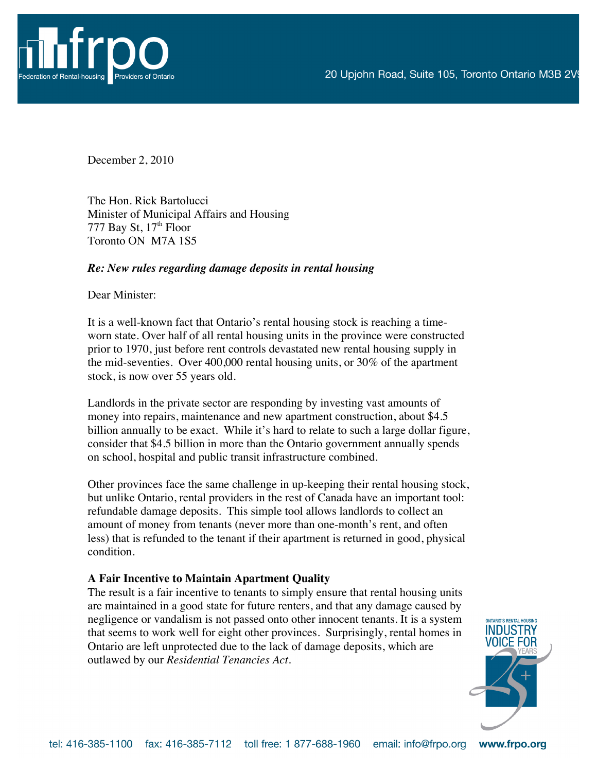

December 2, 2010

The Hon. Rick Bartolucci Minister of Municipal Affairs and Housing 777 Bay St,  $17<sup>th</sup>$  Floor Toronto ON M7A 1S5

## *Re: New rules regarding damage deposits in rental housing*

Dear Minister:

It is a well-known fact that Ontario's rental housing stock is reaching a timeworn state. Over half of all rental housing units in the province were constructed prior to 1970, just before rent controls devastated new rental housing supply in the mid-seventies. Over 400,000 rental housing units, or 30% of the apartment stock, is now over 55 years old.

Landlords in the private sector are responding by investing vast amounts of money into repairs, maintenance and new apartment construction, about \$4.5 billion annually to be exact. While it's hard to relate to such a large dollar figure, consider that \$4.5 billion in more than the Ontario government annually spends on school, hospital and public transit infrastructure combined.

Other provinces face the same challenge in up-keeping their rental housing stock, but unlike Ontario, rental providers in the rest of Canada have an important tool: refundable damage deposits. This simple tool allows landlords to collect an amount of money from tenants (never more than one-month's rent, and often less) that is refunded to the tenant if their apartment is returned in good, physical condition.

## **A Fair Incentive to Maintain Apartment Quality**

The result is a fair incentive to tenants to simply ensure that rental housing units are maintained in a good state for future renters, and that any damage caused by negligence or vandalism is not passed onto other innocent tenants. It is a system that seems to work well for eight other provinces. Surprisingly, rental homes in Ontario are left unprotected due to the lack of damage deposits, which are outlawed by our *Residential Tenancies Act*.

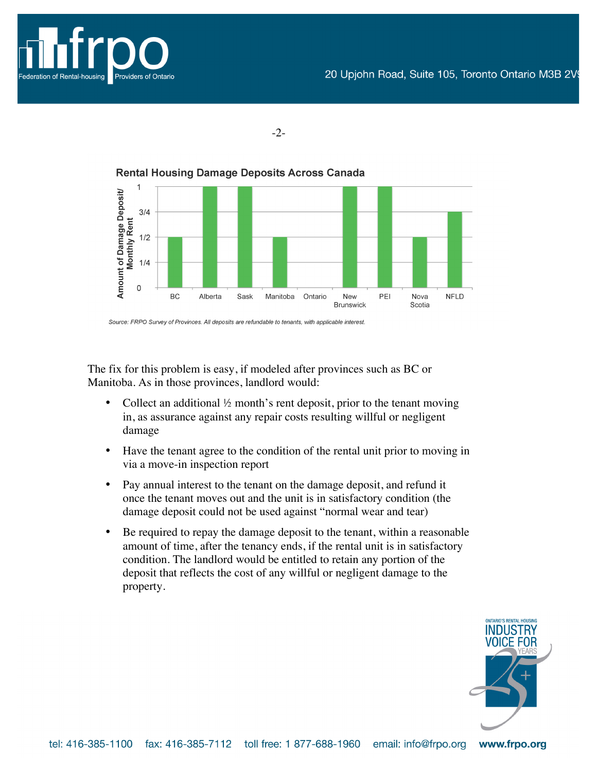



-2-

**Rental Housing Damage Deposits Across Canada** 

Source: FRPO Survey of Provinces. All deposits are refundable to tenants, with applicable interest.

The fix for this problem is easy, if modeled after provinces such as BC or Manitoba. As in those provinces, landlord would:

- Collect an additional  $\frac{1}{2}$  month's rent deposit, prior to the tenant moving in, as assurance against any repair costs resulting willful or negligent damage
- Have the tenant agree to the condition of the rental unit prior to moving in via a move-in inspection report
- Pay annual interest to the tenant on the damage deposit, and refund it once the tenant moves out and the unit is in satisfactory condition (the damage deposit could not be used against "normal wear and tear)
- Be required to repay the damage deposit to the tenant, within a reasonable amount of time, after the tenancy ends, if the rental unit is in satisfactory condition. The landlord would be entitled to retain any portion of the deposit that reflects the cost of any willful or negligent damage to the property.